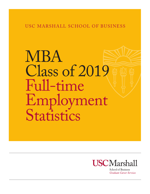# USC MARSHALL SCHOOL OF BUSINESS

# MBA Class of 2019 Full-time Employment Statistics



**School of Business Graduate Career Services**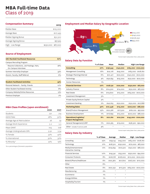# **Compensation Summary 2019**

| Median Base           | \$125,000            |
|-----------------------|----------------------|
| Average Base          | \$127,495            |
| Median Signing Bonus  | \$32,500             |
| Average Signing Bonus | \$37,925             |
| High - Low Range      | \$230,000 - \$87,000 |

# **Source of Employment**

| <b>USC Marshall-Facilitated Resources</b>                          | 67%   |
|--------------------------------------------------------------------|-------|
| Campus Recruiting Program                                          |       |
| - Resume Collections, Job Postings, Fairs,<br>On-Campus Interviews | 28%   |
| Summer Internship Employer                                         | 33%   |
| Alumni, Faculty, Staff Referral                                    | $6\%$ |
| <b>Student-Facilitated Activities</b>                              | 33%   |
| Personal Network - Family, Friends                                 | 10%   |
| Other Student Facilitated Activity                                 | 8%    |

Company Website/Online Resources 13% Previous Employer 2%

#### **MBA Class Profiles (upon enrollment)**

|                              | 2020 | 2021 |
|------------------------------|------|------|
| Students                     | 221  | 214  |
| Admit Rate                   | 28%  | 30%  |
| Average Age at Matriculation | 28   | 29   |
| Average Work Experience      | 5.2  | 5.5  |
| Mean GMAT                    | 705  | 708  |
| Average Undergraduate GPA    | 3.50 | 3.54 |
| % Female                     | 52%  | 42%  |
| % International              | 30%  | 32%  |
| % Minority*                  | 22%  | 19%  |

*\*As a percentage of domestic population*

## **Employment and Median Salary by Geographic Location**



*\*Cannot report salary fewer than 3 data points*

# **Salary Data by Function**

|                                                           | % of class     | Mean      | Median    | <b>High-Low Range</b> |
|-----------------------------------------------------------|----------------|-----------|-----------|-----------------------|
| <b>Consulting</b>                                         | 27%            | \$136,543 | \$140,000 | \$165,000 - \$100,000 |
| Management Consulting                                     | 16%            | \$141,218 | \$145,000 | $$165,000 - $108,160$ |
| Strategic Planning/Internal                               | 6%             | \$121,417 | \$120,000 | \$140,000 - \$100,000 |
| Technology                                                | $4\%$          | \$130,833 | \$125,000 | \$150,000 - \$120,000 |
| Human Resources                                           | 10/6           | $^\star$  | $^\star$  |                       |
| <b>Financial Services</b>                                 | 22%            | \$128,130 | \$120,000 | \$230,000 - \$87,000  |
| <b>Industry Finance</b>                                   | 8%             | \$114,300 | \$114,000 | $$150,000 - $87,000$  |
| <b>Real Estate</b>                                        | 6%             | \$119,600 | \$115,000 | \$163,000 - \$100,000 |
| <b>Investment Management</b>                              | $3\%$          | $\star$   | *         |                       |
| Private Equity/Venture Capital                            | $3\%$          | $^\star$  | $^\star$  |                       |
| <b>Investment Banking</b>                                 | $2\frac{0}{0}$ | \$142,623 | \$150,000 | \$150,000 - \$127,868 |
| <b>Marketing/Sales</b>                                    | 32%            | \$121,446 | \$115,000 | \$200,000 - \$88,000  |
| Brand/Product Management                                  | 25%            | \$122,566 | \$117,500 | \$160,100 - \$97,000  |
| <b>Business Development</b>                               | $7\%$          | \$116,899 | \$115,000 | \$200,000 - \$88,000  |
| <b>Operations/Logistics/</b><br><b>Project Management</b> | 8%             | \$121,160 | \$122,700 | \$145,000 - \$100,000 |
| General Management/LDRP                                   | $7\%$          | \$120,365 | \$119,000 | $$158,500 - $90,000$  |
| Other-includes IT and non-profit                          | $4\%$          | $^\star$  | $^\star$  | $\star$               |
|                                                           |                |           |           |                       |

*\*Cannot report salary fewer than 3 data points*

# **Salary Data by Industry**

|                                            | % of Class     | Average   | Median    | <b>High - Low Range</b> |
|--------------------------------------------|----------------|-----------|-----------|-------------------------|
| Consulting                                 | $25\%$         | \$139,153 | \$145,000 | $$165,000 - $108,160$   |
| Technology                                 | 21%            | \$128,310 | \$130,000 | \$170,000 - \$87,000    |
| Media/Entertainment/<br>Interactive Gaming | $12\%$         | \$109,693 | \$107,500 | $$140,000 - $88,000$    |
| <b>Financial Services</b>                  | 10%            | \$143,541 | \$135,000 | $$230,000 - $94,000$    |
| <b>Consumer Products</b>                   | 8%             | \$106,778 | \$108,000 | \$110,000 - \$100,000   |
| Biotech/Pharm/Healthcare                   | $6\%$          | \$120,360 | \$121,600 | $$126,200 - $110,000$   |
| Other                                      | 6%             | $\star$   | $\star$   | $\ast$                  |
| <b>Real Estate</b>                         | 6%             | \$120,250 | \$117,500 | $$163,000 - $100,000$   |
| Manufacturing                              | $2\frac{0}{0}$ | $\star$   | $\star$   | $\ast$                  |
| Ecommerce                                  | 10/6           | $\star$   | $\star$   | $\star$                 |
| Energy/Utilities                           | 10/6           | $\star$   | $\star$   | $\ast$                  |
| Hospitality/Tourism                        | 10/6           | $\star$   | $\star$   | $\star$                 |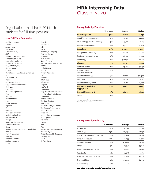# Organizations that hired USC Marshall students for full-time positions

#### **2019 Full-Time Companies**

Activision Blizzard Adobe Amgen, Inc. Analysis Group Architect Equity AT&T Benedict Canyon Equities Bethesda Softworks Bliss Point Media, Inc. Blizzard Entertainment Capgemini US, LLC Capital Group Carbon Inc. China Fortune Land Development Co., Ltd. CIM Group, L.P. Cisco Clocktower Group Cognitive Leap Solutions Inc. Cognizant Confluent Danaher Corporation Dell Deloitte Deutsche Bank eBay Epson America Inc. Experian EY Genentech Generator Ventures Global Media Rights Goldman Sachs Google Green Dot Corporation Greenlaw Partners Group 11 Harry & Jeanette Weinberg Foundation Henkel Intel Corporation Jam City Johnson & Johnson Juniper Networks KPMG

Linkedin Lumentum Lyft Mattel, Inc. McKinsey & Company Miramar Capital Mixpanel Multi Media LLC Nexon America NH Investment & Securities PayPal Pocket Gems Point B Putnam Associates PwC Revolve ROC Group Salesforce Scopely SidePorch PlayStation Sony Pictures Entertainment Southern California Edison PlayStation System Technical The Baby Box Co. Onni group The Walt Disney Company The Wonderful Company Tic Toc Games Toast, Inc. Trammell Crow Company TransDigm Group Inc. Traveloka Twitter Uber Visa Warner Bros. Entertainment Western Digital Wilson Perumal & Company Yamibuy.com Zoom ZS Associates

#### **Salary Data by Function**

|                                                     | % of class     | Average  | Median   |
|-----------------------------------------------------|----------------|----------|----------|
| <b>Marketing/Sales</b>                              | 38%            | \$6,028  | \$6,090  |
| Brand/Product Management                            | 18%            | \$6,531  | \$6,960  |
| Sales Strategy includes advertising                 | $9\%$          | \$5,758  | \$5,133  |
| <b>Business Development</b>                         | $9\%$          | \$5,665  | \$5,600  |
| <b>Consulting</b>                                   | 25%            | \$10,463 | \$11,667 |
| Management Consulting                               | 18%            | \$11,210 | \$12,367 |
| Strategic Planning/Internal                         | $4\%$          | \$6,500  | \$6,900  |
| Technology                                          | $2\frac{0}{0}$ | \$10,098 | \$11,667 |
| <b>Finance</b>                                      | 21%            | \$7,747  | \$7,000  |
| <b>Industry Finance</b>                             | 8%             | \$5,832  | \$6,250  |
| Finance - Other<br>includes private equity          | $2^{0/0}$      | $\ast$   |          |
| <b>Investment Banking</b>                           | $5\%$          | \$11,806 | \$12,500 |
| <b>Real Estate</b>                                  | $4^{0}/_{0}$   | \$5,476  | \$5,713  |
| <b>Investment Management</b>                        | $2\frac{0}{0}$ | \$6,117  | \$6,000  |
| <b>Operations/Logistics/</b><br><b>Supply Chain</b> | 10%            | \$7,072  | \$6,942  |
| <b>General Management</b>                           | 5%             | \$6,713  | \$6,700  |
| Other                                               | $2\frac{0}{0}$ | $\star$  |          |
|                                                     |                |          |          |

*\*Cannot report salary fewer than 3 data points*

*Other includes: Non-profit*

### **Salary Data by Industry**

|                                 | % of Class   | Average  | Median   |
|---------------------------------|--------------|----------|----------|
| Technology                      | 25%          | \$6,856  | \$7,346  |
| Consulting                      | 19%          | \$10,856 | \$11,850 |
| Media/Entertainment/Interactive | $12\%$       | \$5,339  | \$5,481  |
| <b>Consumer Products</b>        | $12\%$       | \$6,295  | \$7,000  |
| <b>Financial Services</b>       | $9\%$        | \$10,192 | \$12,250 |
| Other                           | $7\%$        | \$5,581  | \$5,046  |
| Biotech/Pharma/Healthcare       | $6\%$        | \$7,525  | \$6,960  |
| Real Estate                     | $4^{0}/_{0}$ | \$5,476  | \$5,713  |
| Private Equity/Venture Capital  | $3\%$        | \$5,857  | \$5,220  |
| Energy/Utilities                | $2\%$        | \$5,220  | \$4,350  |
| Manufacturing                   | $1\%$        | *        | $\star$  |

Other includes Transportation, Hospitality/Tourism and Non-Profit